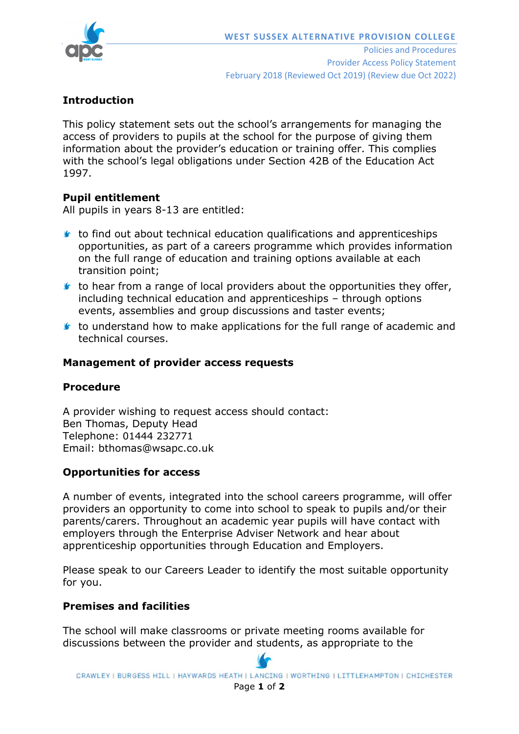

# **Introduction**

This policy statement sets out the school's arrangements for managing the access of providers to pupils at the school for the purpose of giving them information about the provider's education or training offer. This complies with the school's legal obligations under Section 42B of the Education Act 1997.

## **Pupil entitlement**

All pupils in years 8-13 are entitled:

- $\bullet$  to find out about technical education qualifications and apprenticeships opportunities, as part of a careers programme which provides information on the full range of education and training options available at each transition point;
- $\bullet$  to hear from a range of local providers about the opportunities they offer, including technical education and apprenticeships – through options events, assemblies and group discussions and taster events;
- to understand how to make applications for the full range of academic and technical courses.

## **Management of provider access requests**

### **Procedure**

A provider wishing to request access should contact: Ben Thomas, Deputy Head Telephone: 01444 232771 Email: bthomas@wsapc.co.uk

## **Opportunities for access**

A number of events, integrated into the school careers programme, will offer providers an opportunity to come into school to speak to pupils and/or their parents/carers. Throughout an academic year pupils will have contact with employers through the Enterprise Adviser Network and hear about apprenticeship opportunities through Education and Employers.

Please speak to our Careers Leader to identify the most suitable opportunity for you.

## **Premises and facilities**

The school will make classrooms or private meeting rooms available for discussions between the provider and students, as appropriate to the